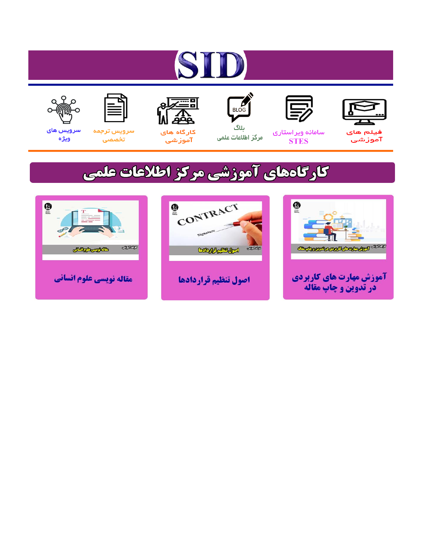# ST











ىلاگ



مرکز اطلاعات علمی

 $\frac{1}{\sqrt{\frac{1}{100}}}$ 

Cologie Legislation

کارگاه های آموزشي

空

ققق

 $\begin{matrix} \textcircled{\footnotesize{A}}\\ \textcircled{\footnotesize{B}} \end{matrix}$ 

سرويس ترجمه تخصصى



سرویس های ويژه

كارگاههای آموزشی مركز اطلاعات علمی

CONTRACT

اصول تنظيم قراردادها



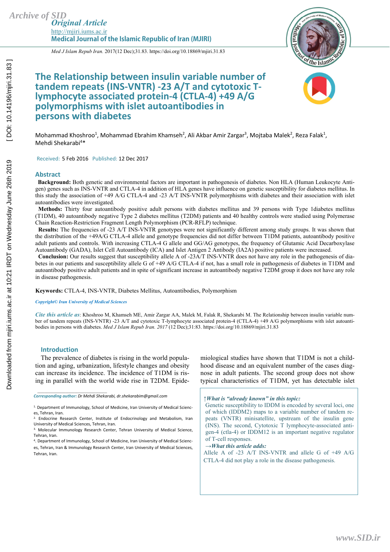*Original Article*  http://mjiri.iums.ac.ir **Medical Journal of the Islamic Republic of Iran (MJIRI)** 



*Med J Islam Repub Iran.* 2017(12 Dec);31.83. https://doi.org/10.18869/mjiri.31.83

## **The Relationship between insulin variable number of tandem repeats (INS-VNTR) -23 A/T and cytotoxic Tlymphocyte associated protein-4 (CTLA-4) +49 A/G polymorphisms with islet autoantibodies in persons with diabetes**



Mohammad Khoshroo<sup>1</sup>, Mohammad Ebrahim Khamseh<sup>2</sup>, Ali Akbar Amir Zargar<sup>3</sup>, Mojtaba Malek<sup>2</sup>, Reza Falak<sup>1</sup>, Mehdi Shekarabi<sup>4\*</sup>

Received: 5 Feb 2016 Published: 12 Dec 2017

#### **Abstract**

 **Background:** Both genetic and environmental factors are important in pathogenesis of diabetes. Non HLA (Human Leukocyte Antigen) genes such as INS-VNTR and CTLA-4 in addition of HLA genes have influence on genetic susceptibility for diabetes mellitus. In this study the association of +49 A/G CTLA-4 and -23 A/T INS-VNTR polymorphisms with diabetes and their association with islet autoantibodies were investigated.

 **Methods:** Thirty four autoantibody positive adult persons with diabetes mellitus and 39 persons with Type 1diabetes mellitus (T1DM), 40 autoantibody negative Type 2 diabetes mellitus (T2DM) patients and 40 healthy controls were studied using Polymerase Chain Reaction-Restriction Fragment Length Polymorphism (PCR-RFLP) technique.

**Results:** The frequencies of -23 A/T INS-VNTR genotypes were not significantly different among study groups. It was shown that the distribution of the +49A/G CTLA-4 allele and genotype frequencies did not differ between T1DM patients, autoantibody positive adult patients and controls. With increasing CTLA-4 G allele and GG/AG genotypes, the frequency of Glutamic Acid Decarboxylase Autoantibody (GADA), Islet Cell Autoantibody (ICA) and Islet Antigen 2 Antibody (IA2A) positive patients were increased.

**Conclusion:** Our results suggest that susceptibility allele A of -23A/T INS-VNTR does not have any role in the pathogenesis of diabetes in our patients and susceptibility allele G of +49 A/G CTLA-4 if not, has a small role in pathogenesis of diabetes in T1DM and autoantibody positive adult patients and in spite of significant increase in autoantibody negative T2DM group it does not have any role in disease pathogenesis.

**Keywords:** CTLA-4, INS-VNTR, Diabetes Mellitus, Autoantibodies, Polymorphism

*Copyright© Iran University of Medical Sciences* 

*Cite this article as*: Khoshroo M, Khamseh ME, Amir Zargar AA, Malek M, Falak R, Shekarabi M. The Relationship between insulin variable number of tandem repeats (INS-VNTR) -23 A/T and cytotoxic T-lymphocyte associated protein-4 (CTLA-4) +49 A/G polymorphisms with islet autoantibodies in persons with diabetes. *Med J Islam Repub Iran. 2017* (12 Dec);31:83. https://doi.org/10.18869/mjiri.31.83

#### **Introduction**

*\_\_\_\_\_\_\_\_\_\_\_\_\_\_\_\_\_\_\_\_\_\_\_\_\_\_\_\_\_\_* 

The prevalence of diabetes is rising in the world population and aging, urbanization, lifestyle changes and obesity can increase its incidence. The incidence of T1DM is rising in parallel with the world wide rise in T2DM. Epidemiological studies have shown that T1DM is not a childhood disease and an equivalent number of the cases diagnose in adult patients. The second group does not show typical characteristics of T1DM, yet has detectable islet

*↑What is "already known" in this topic:* 

Genetic susceptibility to IDDM is encoded by several loci, one of which (IDDM2) maps to a variable number of tandem repeats (VNTR) minisatellite, upstream of the insulin gene  $(INS)$ . The second, Cytotoxic  $T$  lymphocyte-associated antigen-4 (ctla-4) or IDDM12 is an important negative regulator of T-cell responses.

#### *→What this article adds:*

Allele A of -23 A/T INS-VNTR and allele G of +49 A/G CTLA-4 did not play a role in the disease pathogenesis.

*Corresponding author: Dr Mehdi Shekarabi, dr.shekarabim@gmail.com* 

<sup>1.</sup> Department of Immunology, School of Medicine, Iran University of Medical Sciences, Tehran, Iran.

<sup>2.</sup> Endocrine Research Center, Institute of Endocrinology and Metabolism, Iran University of Medical Sciences, Tehran, Iran.<br><sup>3.</sup> Molecular Immunology Research Center, Tehran University of Medical Science,

Tehran, Iran.

<sup>4.</sup> Department of Immunology, School of Medicine, Iran University of Medical Scienc-

es, Tehran, Iran & Immunology Research Center, Iran University of Medical Sciences, Tehran, Iran.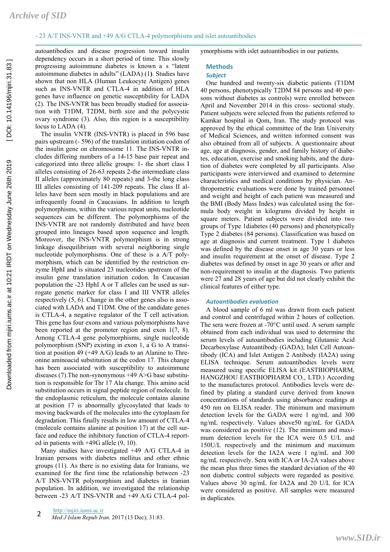autoantibodies and disease progression toward insulin dependency occurs in a short period of time. This slowly progressing autoimmune diabetes is known a s "latent autoimmune diabetes in adults" (LADA) (1**)**. Studies have shown that non HLA (Human Leukocyte Antigen) genes such as INS-VNTR and CTLA-4 in addition of HLA genes have influence on genetic susceptibility for LADA (2). The INS-VNTR has been broadly studied for association with T1DM, T2DM, birth size and the polycystic ovary syndrome (3). Also, this region is a susceptibility locus to LADA (4).

The insulin VNTR (INS-VNTR) is placed in 596 base pairs upstream (- 596) of the translation initiation codon of the insulin gene on chromosome 11. The INS-VNTR includes differing numbers of a 14-15 base pair repeat and categorized into three allelic groups: 1- the short class I alleles consisting of 26-63 repeats 2-the intermediate class II alleles (approximately 80 repeats) and 3-the long class III alleles consisting of 141-209 repeats. The class II alleles have been seen mostly in black populations and are infrequently found in Caucasians. In addition to length polymorphisms, within the various repeat units, nucleotide sequences can be different. The polymorphisms of the INS-VNTR are not randomly distributed and have been grouped into lineages based upon sequence and length. Moreover, the INS-VNTR polymorphism is in strong linkage disequilibrium with several neighboring single nucleotide polymorphisms. One of these is a A/T polymorphism, which can be identified by the restriction enzyme HphI and is situated 23 nucleotides upstream of the insulin gene translation initiation codon. In Caucasian population the -23 HphI A or T alleles can be used as surrogate genetic marker for class I and III VNTR alleles respectively (5, 6). Change in the other genes also is associated with LADA and T1DM. One of the candidate genes is CTLA-4, a negative regulator of the T cell activation. This gene has four exons and various polymorphisms have been reported at the promoter region and exon 1(7, 8). Among CTLA-4 gene polymorphisms, single nucleotide polymorphism (SNP) existing in exon 1, a G to A transition at position 49 (+49 A/G) leads to an Alanine to Threonine aminoacid substitution at the codon 17. This change has been associated with susceptibility to autoimmune diseases (7). The non-synonymous  $+49$  A $>$ G base substitution is responsible for Thr 17 Ala change. This amino acid substitution occurs in signal peptide region of molecule. In the endoplasmic reticulum, the molecule contains alanine at position 17 is abnormally glycosylated that leads to moving backwards of the molecules into the cytoplasm for degradation. This finally results in low amount of CTLA-4 (molecule contains alanine at position 17) at the cell surface and reduce the inhibitory function of CTLA-4 reported in patients with +49G allele (9, 10).

Many studies have investigated +49 A/G CTLA-4 in Iranian persons with diabetes mellitus and other ethnic groups (11). As there is no existing data for Iranians, we examined for the first time the relationship between -23 A/T INS-VNTR polymorphism and diabetes in Iranian population. In addition, we investigated the relationship between -23 A/T INS-VNTR and +49 A/G CTLA-4 polymorphisms with islet autoantibodies in our patients.

## **Methods**

### *Subject*

One hundred and twenty-six diabetic patients (T1DM 40 persons, phenotypically T2DM 84 persons and 40 persons without diabetes as controls) were enrolled between April and November 2014 in this cross- sectional study. Patient subjects were selected from the patients referred to Kamkar hospital in Qom, Iran. The study protocol was approved by the ethical committee of the Iran University of Medical Sciences, and written informed consent was also obtained from all of subjects. A questionnaire about age, age at diagnosis, gender, and family history of diabetes, education, exercise and smoking habits, and the duration of diabetes were completed by all participants. Also participants were interviewed and examined to determine characteristics and medical conditions by physician. Anthropometric evaluations were done by trained personnel and weight and height of each patient was measured and the BMI (Body Mass Index) was calculated using the formula body weight in kilograms divided by height in square meters. Patient subjects were divided into two groups of Type 1diabetes (40 persons) and phenotypically Type 2 diabetes (84 persons). Classification was based on age at diagnosis and current treatment. Type 1 diabetes was defined by the disease onset in age 30 years or less and insulin requirement at the onset of disease. Type 2 diabetes was defined by onset in age 30 years or after and non-requirement to insulin at the diagnosis. Two patients were 27 and 28 years of age but did not clearly exhibit the clinical features of either type.

#### *Autoantibodies evaluation*

A blood sample of 6 ml was drawn from each patient and control and centrifuged within 2 hours of collection. The sera were frozen at -70°C until used. A serum sample obtained from each individual was used to determine the serum levels of autoantibodies including Glutamic Acid Decarboxylase Autoantibody (GADA), Islet Cell Autoantibody (ICA) and Islet Antigen 2 Antibody (IA2A) using ELISA technique. Serum autoantibodies levels were measured using specific ELISA kit (EASTBIOPHARM, HANGZHOU EASTBIOPHARM CO., LTD.) According to the manufactures protocol. Antibodies levels were defined by plating a standard curve derived from known concentrations of standards using absorbance readings at 450 nm on ELISA reader. The minimum and maximum detection levels for the GADA were 1 ng/mL and 300 ng/mL respectively. Values above50 ng/mL for GADA was considered as positive (12). The minimum and maximum detection levels for the ICA were 0.5 U/L and 150U/L respectively and the minimum and maximum detection levels for the IA2A were 1 ng/mL and 300 ng/mL respectively. Sera with ICA or IA-2A values above the mean plus three times the standard deviation of the 40 non diabetic control subjects were regarded as positive. Values above 30 ng/mL for IA2A and 20 U/L for ICA were considered as positive. All samples were measured in duplicates.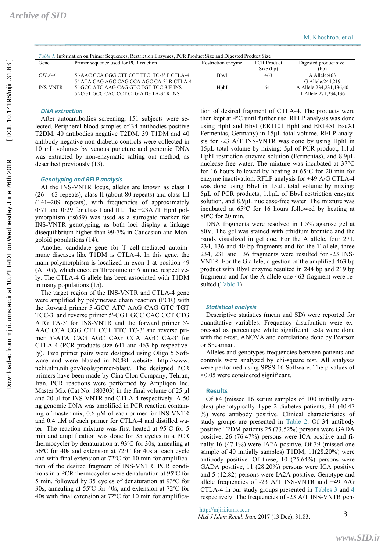| Gene            | Primer sequence used for PCR reaction     | Restriction enzyme | <b>PCR</b> Product<br>Size (bp) | Digested product size<br>(bp) |
|-----------------|-------------------------------------------|--------------------|---------------------------------|-------------------------------|
| $CTLA-4$        | 5'-AAC CCA CGG CTT CCT TTC TC-3' F CTLA-4 | <b>B</b> byI       | 463                             | A Allele:463                  |
|                 | 5'-ATA CAG AGC CAG CCA AGC CA-3' R CTLA-4 |                    |                                 | G Allele: 244, 219            |
| <b>INS-VNTR</b> | 5'-GCC ATC AAG CAG GTC TGT TCC-3'F INS    | HphI               | 641                             | A Allele:234,231,136,40       |
|                 | 5'-CGT GCC CAC CCT CTG ATG TA-3' R INS    |                    |                                 | T Allele: 271, 234, 136       |

### *DNA extraction*

After autoantibodies screening, 151 subjects were selected. Peripheral blood samples of 34 antibodies positive T2DM, 40 antibodies negative T2DM, 39 T1DM and 40 antibody negative non diabetic controls were collected in 10 mL volumes by venous puncture and genomic DNA was extracted by non-enzymatic salting out method, as described previously (13).

#### *Genotyping and RFLP analysis*

At the INS-VNTR locus, alleles are known as class I  $(26 - 63$  repeats), class II (about 80 repeats) and class III (141–209 repeats), with frequencies of approximately 0·71 and 0·29 for class I and III. The −23A /T HphI polymorphism (rs689) was used as a surrogate marker for INS-VNTR genotyping, as both loci display a linkage disequilibrium higher than 99·7% in Caucasian and Mongoloid populations (14).

Another candidate gene for T cell-mediated autoimmune diseases like T1DM is CTLA-4. In this gene, the main polymorphism is localized in exon 1 at position 49  $(A \rightarrow G)$ , which encodes Threonine or Alanine, respectively. The CTLA-4 G allele has been associated with T1DM in many populations (15).

The target region of the INS-VNTR and CTLA-4 gene were amplified by polymerase chain reaction (PCR) with the forward primer 5'-GCC ATC AAG CAG GTC TGT TCC-3' and reverse primer 5'-CGT GCC CAC CCT CTG ATG TA-3' for INS-VNTR and the forward primer 5'- AAC CCA CGG CTT CCT TTC TC-3' and reverse primer 5'-ATA CAG AGC CAG CCA AGC CA-3' for CTLA-4 (PCR-products size 641 and 463 bp respectively). Two primer pairs were designed using Oligo 5 Software and were blasted in NCBI website: http://www. ncbi.nlm.nih.gov/tools/primer-blast/. The designed PCR primers have been made by Cina Clon Company, Tehran, Iran. PCR reactions were performed by Ampliqon Inc. Master Mix (Cat No: 180303) in the final volume of 25 μl and 20 μl for INS-VNTR and CTLA-4 respectively. A 50 ng genomic DNA was amplified in PCR reaction containing of master mix, 0.6 μM of each primer for INS-VNTR and 0.4 μM of each primer for CTLA-4 and distilled water. The reaction mixture was first heated at 95°C for 5 min and amplification was done for 35 cycles in a PCR thermocycler by denaturation at 93°C for 30s, annealing at 56°C for 40s and extension at 72°C for 40s at each cycle and with final extension at 72ºC for 10 min for amplification of the desired fragment of INS-VNTR. PCR conditions in a PCR thermocycler were denaturation at 95ºC for 5 min, followed by 35 cycles of denaturation at 93ºC for 30s, annealing at 55ºC for 40s, and extension at 72ºC for 40s with final extension at 72ºC for 10 min for amplification of desired fragment of CTLA-4. The products were then kept at 4°C until further use. RFLP analysis was done using HphI and BbvI (ER1101 HphI and ER1451 BseXI Fermentas, Germany) in 15μL total volume. RFLP analysis for -23 A/T INS-VNTR was done by using HphI in 15μL total volume by mixing: 5μl of PCR product, 1.1μl HphI restriction enzyme solution (Fermentas), and 8.9μL nuclease-free water. The mixture was incubated at 37°C for 16 hours followed by heating at  $65^{\circ}$ C for 20 min for enzyme inactivation. RFLP analysis for +49 A/G CTLA-4 was done using BbvI in 15μL total volume by mixing: 5μL of PCR products, 1.1μL of BbvI restriction enzyme solution, and 8.9μL nuclease-free water. The mixture was incubated at 65°C for 16 hours followed by heating at 80°C for 20 min.

DNA fragments were resolved in 1.5% agarose gel at 80V. The gel was stained with ethidium bromide and the bands visualized in gel doc. For the A allele, four 271, 234, 136 and 40 bp fragments and for the T allele, three 234, 231 and 136 fragments were resulted for -23 INS-VNTR. For the G allele, digestion of the amplified 463 bp product with BbvI enzyme resulted in 244 bp and 219 bp fragments and for the A allele one 463 fragment were resulted (Table 1).

#### *Statistical analysis*

Descriptive statistics (mean and SD) were reported for quantitative variables. Frequency distribution were expressed as percentage while significant tests were done with the t-test, ANOVA and correlations done by Pearson or Spearman.

Alleles and genotypes frequencies between patients and controls were analyzed by chi-square test. All analyses were performed using SPSS 16 Software. The p values of <0.05 were considered significant.

#### **Results**

Of 84 (missed 16 serum samples of 100 initially samples) phenotypically Type 2 diabetes patients, 34 (40.47 %) were antibody positive. Clinical characteristics of study groups are presented in Table 2. Of 34 antibody positive T2DM patients 25 (73.52%) persons were GADA positive, 26 (76.47%) persons were ICA positive and finally 16 (47.1%) were IA2A positive. Of 39 (missed one sample of 40 initially samples) T1DM, 11(28.20%) were antibody positive. Of these, 10 (25.64%) persons were GADA positive, 11 (28.20%) persons were ICA positive and 5 (12.82) persons were IA2A positive. Genotype and allele frequencies of -23 A/T INS-VNTR and +49 A/G CTLA-4 in our study groups presented in Tables 3 and 4 respectively. The frequencies of -23 A/T INS-VNTR gen-

http://mjiri.iums.ac.ir *Med J Islam Repub Iran.* 2017 (13 Dec); 31.83. 3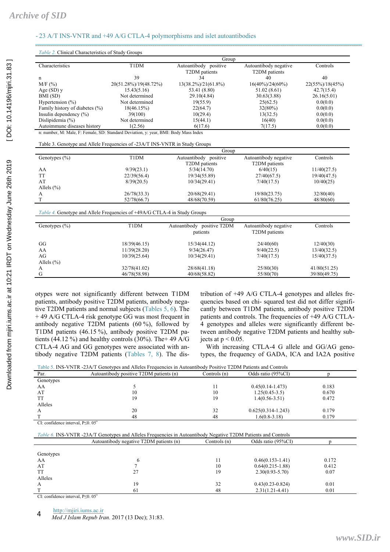| Group                                                                                |                       |                                        |                                        |                     |  |
|--------------------------------------------------------------------------------------|-----------------------|----------------------------------------|----------------------------------------|---------------------|--|
| Characteristics                                                                      | T1DM                  | Autoantibody positive<br>T2DM patients | Autoantibody negative<br>T2DM patients | Controls            |  |
| n                                                                                    | 39                    | 34                                     | 40                                     | 40                  |  |
| M/F(%)                                                                               | 20(51.28%)/19(48.72%) | $13(38.2\%)/21(61.8\%)$                | $16(40\%)/24(60\%)$                    | $22(55\%)/18(45\%)$ |  |
| Age $(SD)$ y                                                                         | 15.43(5.16)           | 53.41 (8.80)                           | 51.02(8.61)                            | 42.7(15.4)          |  |
| BMI (SD)                                                                             | Not determined        | 29.10(4.84)                            | 30.63(3.88)                            | 26.16(5.01)         |  |
| Hypertension $(\% )$                                                                 | Not determined        | 19(55.9)                               | 25(62.5)                               | 0.0(0.0)            |  |
| Family history of diabetes (%)                                                       | 18(46.15%)            | 22(64.7)                               | $32(80\%)$                             | 0.0(0.0)            |  |
| Insulin dependency $(\% )$                                                           | 39(100)               | 10(29.4)                               | 13(32.5)                               | 0.0(0.0)            |  |
| Dislipidemia (%)                                                                     | Not determined        | 15(44.1)                               | 16(40)                                 | 0.0(0.0)            |  |
| Autoimmune diseases history                                                          | 1(2.56)               | 6(17.6)                                | 7(17.5)                                | 0.0(0.0)            |  |
| n: number, M: Male, F: Female, SD: Standard Deviation, y: year, BMI: Body Mass Index |                       |                                        |                                        |                     |  |
| Table 3. Genotype and Allele Frequencies of -23A/T INS-VNTR in Study Groups          |                       |                                        |                                        |                     |  |
|                                                                                      |                       | Group                                  |                                        |                     |  |
| Genotypes $(\% )$                                                                    | T1DM                  | Autoantibody positive<br>T2DM patients | Autoantibody negative<br>T2DM patients | Controls            |  |
| AA                                                                                   | 9/39(23.1)            | 5/34(14.70)                            | 6/40(15)                               | 11/40(27.5)         |  |
| <b>TT</b>                                                                            | 22/39(56.4)           | 19/34(55.89)                           | 27/40(67.5)                            | 19/40(47.5)         |  |
| AT                                                                                   | 8/39(20.5)            | 10/34(29.41)                           | 7/40(17.5)                             | 10/40(25)           |  |
| Allels $(\% )$                                                                       |                       |                                        |                                        |                     |  |
| A                                                                                    | 26/78(33.3)           | 20/68(29.41)                           | 19/80(23.75)                           | 32/80(40)           |  |
| T                                                                                    | 52/78(66.7)           | 48/68(70.59)                           | 61/80(76.25)                           | 48/80(60)           |  |
| Table 4. Genotype and Allele Frequencies of +49A/G CTLA-4 in Study Groups            |                       |                                        |                                        |                     |  |
|                                                                                      |                       | Group                                  |                                        |                     |  |
| Genotypes $(\% )$                                                                    | T1DM                  | Autoantibody positive T2DM<br>patients | Autoantibody negative<br>T2DM patients | Controls            |  |
| GG                                                                                   | 18/39(46.15)          | 15/34(44.12)                           | 24/40(60)                              | 12/40(30)           |  |
| AA                                                                                   | 11/39(28.20)          | 9/34(26.47)                            | 9/40(22.5)                             | 13/40(32.5)         |  |
| AG                                                                                   | 10/39(25.64)          | 10/34(29.41)                           | 7/40(17.5)                             | 15/40(37.5)         |  |
|                                                                                      |                       |                                        |                                        |                     |  |
|                                                                                      |                       |                                        |                                        |                     |  |
| Allels $(\% )$<br>A                                                                  | 32/78(41.02)          | 28/68(41.18)                           | 25/80(30)                              | 41/80(51.25)        |  |

otypes were not significantly different between T1DM patients, antibody positive T2DM patients, antibody negative T2DM patients and normal subjects (Tables 5, 6). The + 49 A/G CTLA-4 risk genotype GG was most frequent in antibody negative T2DM patients (60 %), followed by T1DM patients (46.15 %), antibody positive T2DM patients (44.12 %) and healthy controls (30%). The +49 A/G CTLA-4 AG and GG genotypes were associated with antibody negative T2DM patients (Tables 7, 8). The distribution of +49 A/G CTLA-4 genotypes and alleles frequencies based on chi- squared test did not differ significantly between T1DM patients, antibody positive T2DM patients and controls. The frequencies of +49 A/G CTLA-4 genotypes and alleles were significantly different between antibody negative T2DM patients and healthy subjects at  $p < 0.05$ .

With increasing CTLA-4 G allele and GG/AG genotypes, the frequency of GADA, ICA and IA2A positive

| Table 5. INS-VNTR -23A/T Genotypes and Alleles Frequencies in Autoantibody Positive T2DM Patients and Controls |                                         |              |                      |       |  |  |
|----------------------------------------------------------------------------------------------------------------|-----------------------------------------|--------------|----------------------|-------|--|--|
| Par.                                                                                                           | Autoantibody positive T2DM patients (n) | Controls (n) | Odds ratio (95%CI)   |       |  |  |
| Genotypes                                                                                                      |                                         |              |                      |       |  |  |
| AA                                                                                                             |                                         | 11           | $0.45(0.14-1.473)$   | 0.183 |  |  |
| AT                                                                                                             | 10                                      | 10           | $1.25(0.45-3.5)$     | 0.670 |  |  |
| TT                                                                                                             | 19                                      | 19           | $1.4(0.56 - 3.51)$   | 0.472 |  |  |
| Alleles                                                                                                        |                                         |              |                      |       |  |  |
|                                                                                                                | 20                                      | 32           | $0.625(0.314-1.243)$ | 0.179 |  |  |
|                                                                                                                | 48                                      | 48           | $1.6(0.8-3.18)$      | 0.179 |  |  |
|                                                                                                                | .                                       |              |                      |       |  |  |

CI: confidence interval, P≤0. 05\*

|           | Table 6. INS-VNTR -23A/T Genotypes and Alleles Frequencies in Autoantibody Negative T2DM Patients and Controls |                |                      |       |  |
|-----------|----------------------------------------------------------------------------------------------------------------|----------------|----------------------|-------|--|
|           | Autoantibody negative T2DM patients (n)                                                                        | Controls $(n)$ | Odds ratio (95%CI)   |       |  |
|           |                                                                                                                |                |                      |       |  |
| Genotypes |                                                                                                                |                |                      |       |  |
| AA        |                                                                                                                | П              | $0.46(0.153 - 1.41)$ | 0.172 |  |
| AT        |                                                                                                                | 10             | $0.64(0.215-1.88)$   | 0.412 |  |
| TT        | 27                                                                                                             | 19             | $2.30(0.93 - 5.70)$  | 0.07  |  |
| Alleles   |                                                                                                                |                |                      |       |  |
| A         | 19                                                                                                             | 32             | $0.43(0.23-0.824)$   | 0.01  |  |
|           | 61                                                                                                             | 48             | $2.31(1.21-4.41)$    | 0.01  |  |

CI: confidence interval, P≤0. 05\*

http://mjiri.iums.ac.ir

*Med J Islam Repub Iran.* 2017 (13 Dec); 31:83. 4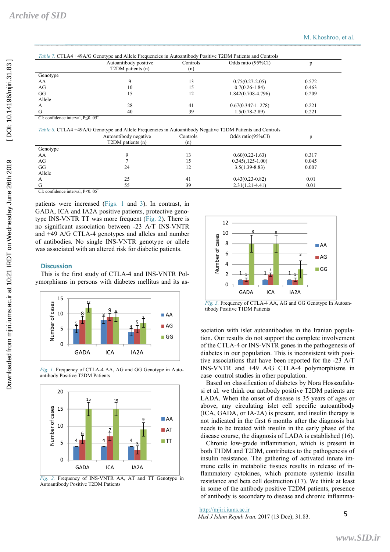|          | Autoantibody positive<br>T2DM patients (n) | Controls<br>(n) | Odds ratio (95%CI)     |       |
|----------|--------------------------------------------|-----------------|------------------------|-------|
| Genotype |                                            |                 |                        |       |
| AA       |                                            | 13              | $0.75(0.27-2.05)$      | 0.572 |
| AG       | 10                                         | 15              | $0.7(0.26 - 1.84)$     | 0.463 |
| GG       |                                            | 12              | $1.842(0.708 - 4.796)$ | 0.209 |
| Allele   |                                            |                 |                        |       |
| А        | 28                                         | 41              | $0.67(0.347-1.278)$    | 0.221 |
| G        | 40                                         | 39              | $1.5(0.78 - 2.89)$     | 0.221 |

CI: confidence interval, P≤0. 05\*

*Table 8.* CTLA4 +49A/G Genotype and Allele Frequencies in Autoantibody Negative T2DM Patients and Controls

|          | Autoantibody negative<br>T2DM patients (n) | Controls<br>(n) | Odds ratio(95%CI)   |       |  |
|----------|--------------------------------------------|-----------------|---------------------|-------|--|
| Genotype |                                            |                 |                     |       |  |
| AA       |                                            | 13              | $0.60(0.22 - 1.63)$ | 0.317 |  |
| AG       |                                            |                 | $0.345(.125-1.00)$  | 0.045 |  |
| GG       | 24                                         | 12              | $3.5(1.39 - 8.83)$  | 0.007 |  |
| Allele   |                                            |                 |                     |       |  |
| А        | 25                                         | 41              | $0.43(0.23-0.82)$   | 0.01  |  |
|          | 55                                         | 39              | $2.31(1.21 - 4.41)$ | 0.01  |  |
|          |                                            |                 |                     |       |  |

CI: confidence interval, P≤0. 05\*

patients were increased (Figs. 1 and 3). In contrast, in GADA, ICA and IA2A positive patients, protective genotype INS-VNTR TT was more frequent (Fig. 2). There is no significant association between -23 A/T INS-VNTR and +49 A/G CTLA-4 genotypes and alleles and number of antibodies. No single INS-VNTR genotype or allele was associated with an altered risk for diabetic patients.

#### **Discussion**

This is the first study of CTLA-4 and INS-VNTR Polymorphisms in persons with diabetes mellitus and its as-



*Fig. 1.* Frequency of CTLA-4 AA, AG and GG Genotype in Autoantibody Positive T2DM Patients



*Fig. 2.* Frequency of INS-VNTR AA, AT and TT Genotype in Autoantibody Positive T2DM Patients



*Fig. 3.* Frequency of CTLA-4 AA, AG and GG Genotype In Autoantibody Positive T1DM Patients

sociation with islet autoantibodies in the Iranian population. Our results do not support the complete involvement of the CTLA-4 or INS-VNTR genes in the pathogenesis of diabetes in our population. This is inconsistent with positive associations that have been reported for the -23 A/T INS-VNTR and +49 A/G CTLA-4 polymorphisms in case–control studies in other population.

Based on classification of diabetes by Nora Hosszufalusi et al. we think our antibody positive T2DM patients are LADA. When the onset of disease is 35 years of ages or above, any circulating islet cell specific autoantibody (ICA, GADA, or IA-2A) is present, and insulin therapy is not indicated in the first 6 months after the diagnosis but needs to be treated with insulin in the early phase of the disease course, the diagnosis of LADA is established (16).

Chronic low-grade inflammation, which is present in both T1DM and T2DM, contributes to the pathogenesis of insulin resistance. The gathering of activated innate immune cells in metabolic tissues results in release of inflammatory cytokines, which promote systemic insulin resistance and beta cell destruction (17). We think at least in some of the antibody positive T2DM patients, presence of antibody is secondary to disease and chronic inflamma-

http://mjiri.iums.ac.ir

*Med J Islam Repub Iran.* 2017 (13 Dec); 31.83. 5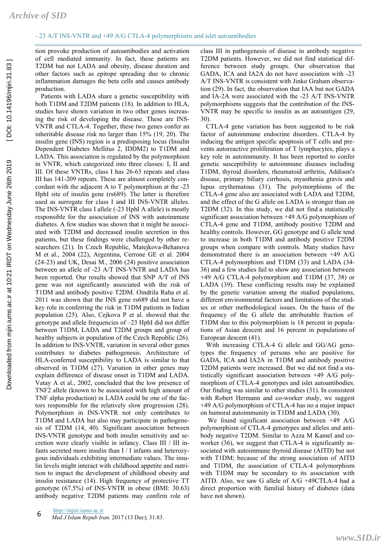tion provoke production of autoantibodies and activation of cell mediated immunity. In fact, these patients are T2DM but not LADA and obesity, disease duration and other factors such as epitope spreading due to chronic inflammation damages the beta cells and causes antibody production.

Patients with LADA share a genetic susceptibility with both T1DM and T2DM patients (18). In addition to HLA, studies have shown variation in two other genes increasing the risk of developing the disease. These are INS-VNTR and CTLA-4. Together, these two genes confer an inheritable disease risk no larger than 15% (19, 20). The insulin gene (INS) region is a predisposing locus (Insulin Dependent Diabetes Mellitus 2, IDDM2) to T1DM and LADA. This association is regulated by the polymorphism in VNTR, which categorized into three classes: I, II and III. Of these VNTRs, class I has 26-63 repeats and class III has 141-209 repeats. These are almost completely concordant with the adjacent A to T polymorphism at the -23 HphI site of insulin gene (rs689). The latter is therefore used as surrogate for class I and III INS-VNTR alleles. The INS-VNTR class I allele (-23 HphI A allele) is mostly responsible for the association of INS with autoimmune diabetes. A few studies was shown that it might be associated with T2DM and decreased insulin secretion in this patients, but these findings were challenged by other researchers (21). In Czech Republic, Matejkova-Behanova M et al., 2004 (22), Argentina, Cerrone GE et al. 2004 (24-23) and UK, Desai M., 2006 (24) positive association between an allele of -23 A/T INS-VNTR and LADA has been reported. Our results showed that SNP A/T of INS gene was not significantly associated with the risk of T1DM and antibody positive T2DM. Oindrila Raha et al. 2011 was shown that the INS gene rs689 did not have a key role in conferring the risk in T1DM patients in Indian population (25). Also, Cejkova P et al. showed that the genotype and allele frequencies of –23 HphI did not differ between T1DM, LADA and T2DM groups and group of healthy subjects in population of the Czech Republic (26). In addition to INS-VNTR, variation in several other genes contributes to diabetes pathogenesis. Architecture of HLA-conferred susceptibility to LADA is similar to that observed in T1DM (27). Variation in other genes may explain difference of disease onset in T1DM and LADA. Vatay A et al., 2002, concluded that the low presence of TNF2 allele (known to be associated with high amount of TNF alpha production) in LADA could be one of the factors responsible for the relatively slow progression (28). Polymorphism in INS-VNTR not only contributes to T1DM and LADA but also may participate in pathogenesis of T2DM (14, 40). Significant association between INS-VNTR genotype and both insulin sensitivity and secretion were clearly visible in infancy. Class III / III infants secreted more insulin than I / I infants and heterozygous individuals exhibiting intermediate values. The insulin levels might interact with childhood appetite and nutrition to impact the development of childhood obesity and insulin resistance (14). High frequency of protective TT genotype (67.5%) of INS-VNTR in obese (BMI: 30.63) antibody negative T2DM patients may confirm role of

http://mjiri.iums.ac.ir *Med J Islam Repub Iran.* 2017 (13 Dec); 31:83. 6

class III in pathogenesis of disease in antibody negative T2DM patients. However, we did not find statistical difference between study groups. Our observation that GADA, ICA and IA2A do not have association with -23 A/T INS-VNTR is consistent with Jinko Graham observation (29). In fact, the observation that IAA but not GADA and IA-2A were associated with the -23 A/T INS-VNTR polymorphisms suggests that the contribution of the INS-VNTR may be specific to insulin as an autoantigen (29, 30).

CTLA-4 gene variation has been suggested to be risk factor of autoimmune endocrine disorders. CTLA-4 by inducing the antigen specific apoptosis of T cells and prevents autoreactive proliferation of T lymphocytes, plays a key role in autoimmunity. It has been reported to confer genetic susceptibility to autoimmune diseases including T1DM, thyroid disorders, rheumatoid arthritis, Addison's disease, primary biliary cirrhosis, myasthenia gravis and lupus erythematous (31). The polymorphisms of the CTLA-4 gene also are associated with LADA and T2DM, and the effect of the G allele on LADA is stronger than on T2DM (32). In this study, we did not find a statistically significant association between +49 A/G polymorphism of CTLA-4 gene and T1DM, antibody positive T2DM and healthy controls. However, GG genotype and G allele tend to increase in both T1DM and antibody positive T2DM groups when compare with controls. Many studies have demonstrated there is an association between +49 A/G CTLA-4 polymorphism and T1DM (33) and LADA (34- 36) and a few studies fail to show any association between +49 A/G CTLA-4 polymorphism and T1DM (37, 38) or LADA (39). These conflicting results may be explained by the genetic variation among the studied populations, different environmental factors and limitations of the studies or other methodological issues. On the basis of the frequency of the G allele the attributable fraction of T1DM due to this polymorphism is 18 percent in populations of Asian descent and 16 percent in populations of European descent (41).

With increasing CTLA-4 G allele and GG/AG genotypes the frequency of persons who are positive for GADA, ICA and IA2A in T1DM and antibody positive T2DM patients were increased. But we did not find a statistically significant association between +49 A/G polymorphism of CTLA-4 genotypes and islet autoantibodies. Our finding was similar to other studies (31). In consistent with Robert Hermann and co-worker study, we suggest +49 A/G polymorphism of CTLA-4 has no a major impact on humoral autoimmunity in T1DM and LADA (30).

 We found significant association between +49 A/G polymorphism of CTLA-4 genotypes and alleles and antibody negative T2DM. Similar to Azza M Kamel and coworker (36), we suggest that CTLA-4 is significantly associated with autoimmune thyroid disease (AITD) but not with T1DM; because of the strong association of AITD and T1DM, the association of CTLA-4 polymorphism with T1DM may be secondary to its association with AITD. Also, we saw G allele of A/G +49CTLA-4 had a direct proportion with familial history of diabetes (data have not shown).

[Downloaded from mjiri.iums.ac.ir at 10:21 IRDT on Wednesday June 26th 2019 \[ DOI: 10.14196/mjiri.31.83 \]](http://mjiri.iums.ac.ir/article-1-3496-en.html) 

Downloaded from mjiri.iums.ac.ir at 10:21 IRDT on Wednesday June 26th 2019

[DOI: 10.14196/mjiri.31.83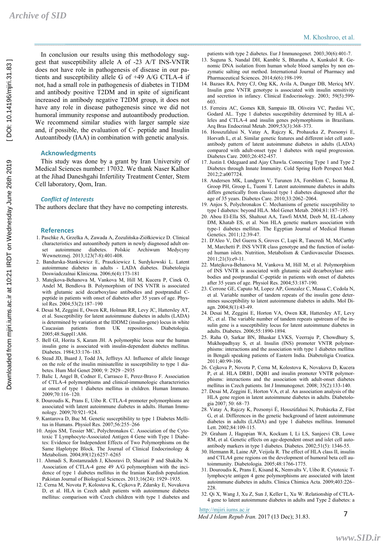In conclusion our results using this methodology suggest that susceptibility allele A of -23 A/T INS-VNTR does not have role in pathogenesis of disease in our patients and susceptibility allele G of +49 A/G CTLA-4 if not, had a small role in pathogenesis of diabetes in T1DM and antibody positive T2DM and in spite of significant increased in antibody negative T2DM group, it does not have any role in disease pathogenesis since we did not humoral immunity response and autoantibody production. We recommend similar studies with larger sample size and, if possible, the evaluation of C- peptide and Insulin Autoantibody (IAA) in combination with genetic analysis.

#### **Acknowledgments**

This study was done by a grant by Iran University of Medical Sciences number: 17032. We thank Naser Kalhor at the Jihad Daneshgahi Infertility Treatment Center, Stem Cell laboratory, Qom, Iran.

#### *Conflict of Interests*

The authors declare that they have no competing interests.

#### **References**

- 1. Paschke A, Grzelka A, Zawada A, Zozulińska-Ziółkiewicz D. Clinical characteristics and autoantibody pattern in newly diagnosed adult onautoimmune diabetes. Polskie Archiwum Medycyny Wewnetrznej. 2013;123(7-8):401-408.
- 2. Bandurska-Stankiewicz E, Praszkiewicz I, Surdykowski L. Latent autoimmune diabetes in adults - LADA diabetes. Diabetologia Doswiadczalnai Kliniczna. 2006;6(4):173-181
- 3. Matejkova-Behanova M, Vankova M, Hill M, Kucera P, Cinek O, Andel M, Bendlova B. Polymorphism of INS VNTR is associated with glutamic acid decarboxylase antibodies and postprandial Cpeptide in patients with onset of diabetes after 35 years of age. Physiol Res. 2004;53(2):187–190
- 4. Desai M, Zeggini E, Owen KR, Holman RR, Levy JC, Hattersley AT, et al. Susceptibility for latent autoimmune diabetes in adults (LADA) is determined by variation at the IDDM2 (insulin-gene) locus in white Caucasian patients from UK repositories. Diabetologia. 2005;48:Suppl1:A86.
- 5. Bell GI, Horita S, Karam JH. A polymorphic locus near the human insulin gene is associated with insulin-dependent diabetes mellitus. Diabetes. 1984;33:176–183.
- 6. Stead JD, Buard J, Todd JA, Jeffreys AJ. Influence of allele lineage on the role of the insulin minisatellite in susceptibility to type 1 diabetes. Hum Mol Genet 2000; 9: 2929 –2935
- 7. Balic I, Angel B, Codner E, Carrasco E, Perez-Bravo F. Association of CTLA-4 polymorphisms and clinical-immunologic characteristics at onset of type 1 diabetes mellitus in children. Human Immuno.  $2009.70:116-120$
- 8. Douroudis K, Prans E, Uibo R. CTLA-4 promoter polymorphisms are associated with latent autoimmune diabetes in adults. Human Immunology. 2009;70:921–924.
- 9. Kantarova D, Buc M. Genetic susceptibility to type 1 Diabetes Mellitus in Humans. Physiol Res. 2007;56:255–266
- 10. Anjos SM, Tessier MC, Polychronakos C. Association of the Cytotoxic T Lymphocyte-Associated Antigen 4 Gene with Type 1 Diabetes: Evidence for Independent Effects of Two Polymorphisms on the Same Haplotype Block. The Journal of Clinical Endocrinology  $\&$ Metabolism. 2004;89(12):6257–6265
- 11. Ahmadi S, Rostamzadeh J, Khosravi D, Shariati P and Shakiba N. Association of CTLA-4 gene 49 A/G polymorphism with the incidence of type 1 diabetes mellitus in the Iranian Kurdish population. Pakistan Journal of Biological Sciences. 2013;16(24): 1929–1935.
- 12. Cerna M, Novota P, Kolostova K, Cejkova P, Zdarsky E, Novakova D, et al. HLA in Czech adult patients with autoimmune diabetes mellitus: comparison with Czech children with type 1 diabetes and

patients with type 2 diabetes. Eur J Immunogenet. 2003;30(6):401-7.

- 13. Suguna S, Nandal DH, Kamble S, Bharatha A, Kunkulol R. Genomic DNA isolation from human whole blood samples by non enzymatic salting out method. International Journal of Pharmacy and Pharmaceutical Sciences. 2014;6(6):198-199.
- 14. Bazaes RA, Petry CJ, Ong KK, Avila A, Dunger DB, Mericq MV. Insulin gene VNTR genotype is associated with insulin sensitivity and secretion in infancy. Clinical Endocrinology. 2003; 59(5):599- 603.
- 15. Ferreira AC, Gomes KB, Sampaio IB, Oliveira VC, Pardini VC, Godard AL. Type 1 diabetes susceptibility determined by HLA alleles and CTLA-4 and insulin genes polymorphisms in Brazilians. Arq Bras Endocrinal Metab. 2009;53(3):368–373.
- 16. Hosszufalusi N, Vatay A, Rajczy K, Prohaszka Z, Pozsonyi E, Horvath L, et al. Similar genetic features and different islet cell autoantibody pattern of latent autoimmune diabetes in adults (LADA) compared with adult-onset type 1 diabetes with rapid progression. Diabetes Care. 2003;26:452-457.
- 17. Justin I. Odegaard and Ajay Chawla. Connecting Type 1 and Type 2 Diabetes through Innate Immunity. Cold Spring Herb Perspect Med. 2012;2:a007724.
- 18. Andersen MK, Lundgren V, Turunen JA, Forsblom C, Isomaa B, Groop PH, Groop L, Tuomi T. Latent autoimmune diabetes in adults differs genetically from classical type 1 diabetes diagnosed after the age of 35 years. Diabetes Care. 2010;33:2062–2064.
- 19. Anjos S, Polychronakos C. Mechanisms of genetic susceptibility to type I diabetes: beyond HLA. Mol Genet Metab. 2004;81:187–195.
- 20. Abou El-Ella SS, Shaltout AA, Tawfi MAM, Deeb M, EL-Lahony DM, Khatab ES, et al. Non HLA genetic markers association with type-1 diabetes mellitus. The Egyptian Journal of Medical Human Genetics. 2011;12:39-47.
- 21. D'Aleo V, Del Guerra S, Groves C, Lupi R, Tancredi M, McCarthy M, Marchetti P. INS VNTR class genotype and the function of isolated human islets. Nutrition, Metabolism & Cardiovascular Diseases. 2011;21(3):e9-11.
- 22. Matejkova-Behanova M, Vankova M, Hill M, et al. Polymorphism of INS VNTR is associated with glutamic acid decarboxylase antibodies and postprandial C-peptide in patients with onset of diabetes after 35 years of age. Physiol Res. 2004;53:187-190.
- 23. Cerrone GE, Caputo M, Lopez AP, Gonzalez C, Massa C, Cedola N, et al. Variable number of tandem repeats of the insulin gene determines susceptibility to latent autoimmune diabetes in adults. Mol Diagn. 2004;8(1):43-49.
- 24. Desai M, Zeggini E, Horton VA, Owen KR, Hattersley AT, Levy JC, et al. The variable number of tandem repeats upstream of the insulin gene is a susceptibility locus for latent autoimmune diabetes in adults. Diabetes. 2006;55:1890-1894.
- 25. Raha O, Sarkar BN, Bhaskar LVKS, Veerraju P, Chowdhury S, Mukhopadhyay S, et al. Insulin (INS) promoter VNTR polymorphisms: interactions and the association with type 1 diabetes mellitus in Bengali speaking patients of Eastern India. Diabetoligia Croatica. 2011;40:99-106.
- 26. Cejkova P, Novota P, Cerna M, Kolostova K, Novakova D, Kucera P, et al. HLA DRB1, DQB1 and insulin promoter VNTR polymorphisms: interactions and the association with adult-onset diabetes mellitus in Czech patients. Int J Immunogenet. 2008; 35(2):133-140.
- 27. Desai M, Zeggini E, Horton VA, et al. An association analysis of the HLA gene region in latent autoimmune diabetes in adults. Diabetologia 2007; 50: 68–73
- 28. Vatay Á, Rajczy K, Pozsonyi É, Hosszúfalusi N, Prohászka Z, Füst G, et al. Differences in the genetic background of latent autoimmune diabetes in adults (LADA) and type 1 diabetes mellitus. Immunol Lett. 2002;84:109-115.
- 29. Graham J, Hagopian WA, Kockum I, Li LS, Sanjeevi CB, Lowe RM, et al. Genetic effects on age-dependent onset and islet cell autoantibody markers in type 1 diabetes. Diabetes. 2002;51(5): 1346-55.
- 30. Hermann R, Laine AP, Veijola R. The effect of HLA class II, insulin and CTLA4 gene regions on the development of humoral beta cell autoimmunity. Diabetologia. 2005;48:1766-1775.
- 31. Douroudis K, Prans E, Kisand K, Nemvalts V, Uibo R. Cytotoxic Tlymphocyte antigen 4 gene polymorphisms are associated with latent autoimmune diabetes in adults. Clinica Chimica Acta. 2009;403:226–  $228$
- 32. Qi X, Wang J, Xu Z, Sun J, Keller L, Xu W. Relationship of CTLA-4 gene to latent autoimmune diabetes in adults and Type 2 diabetes: a

http://mjiri.iums.ac.ir

*Med J Islam Repub Iran.* 2017 (13 Dec); 31.83.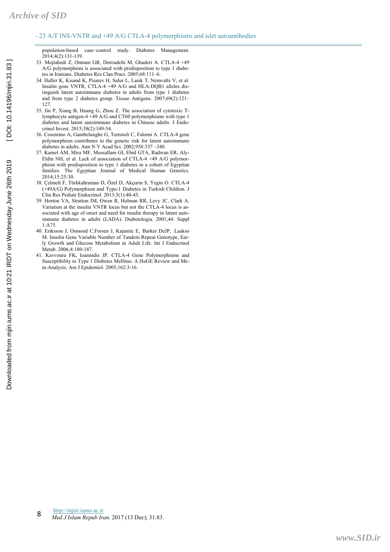population-based case–control study. Diabetes Management. 2014;4(2):131-139.

- 33. Mojtahedi Z, Omrani GR, Doroudchi M, Ghaderi A. CTLA-4 +49 A/G polymorphism is associated with predisposition to type 1 diabetes in Iranians. Diabetes Res Clan Pract. 2005;68:111–6.
- 34. Haller K, Kisand K, Pisarev H, Salur L, Laisk T, Nemvalts V, et al. Insulin gene VNTR, CTLA-4 +49 A/G and HLA-DQB1 alleles distinguish latent autoimmune diabetes in adults from type 1 diabetes and from type 2 diabetes group. Tissue Antigens. 2007;69(2):121– 127.
- 35. Jin P, Xiang B, Huang G, Zhou Z. The association of cytotoxic Tlymphocyte antigen-4 +49 A/G and CT60 polymorphisms with type 1 diabetes and latent autoimmune diabetes in Chinese adults. J Endocrinol Invest. 2015;38(2):149-54.
- 36. Cosentino A, Gambelunghe G, Tortoioli C, Falorni A. CTLA-4 gene polymorphism contributes to the genetic risk for latent autoimmune diabetes in adults. Ann N Y Acad Sci. 2002;958:337 –340.
- 37. Kamel AM, Mira MF, Mossallam GI, Ebid GTA, Radwan ER, Aly-Eldin NH, et al. Lack of association of CTLA-4 +49 A/G polymorphism with predisposition to type 1 diabetes in a cohort of Egyptian families. The Egyptian Journal of Medical Human Genetics. 2014;15:25-30.
- 38. Çelmeli F, Türkkahraman D, Özel D, Akçurin S, Yegin O. CTLA-4 (+49A/G) Polymorphism and Type-1 Diabetes in Turkish Children. J Clin Res Pediatr Endocrinol. 2013;5(1):40-43.
- 39. Horton VA, Stratton IM, Owen R, Holman RR, Levy JC, Clark A. Variation at the insulin VNTR locus but not the CTLA-4 locus is associated with age of onset and need for insulin therapy in latent autoimmune diabetes in adults (LADA). Diabetologia. 2001;44: Suppl 1:A75.
- 40. Eriksson J, Osmond C,Forsen J, Kajantie E, Barker DeJP, Laakso M. Insulin Gene Variable Number of Tandem Repeat Genotype, Early Growth and Glucose Metabolism in Adult Life. Int J Endocrinol Metab. 2006;4:180-187.
- 41. Kavvoura FK, Ioannidis JP. CTLA-4 Gene Polymorphisms and Susceptibility to Type 1 Diabetes Mellitus: A HuGE Review and Meta-Analysis. Am J Epidemiol. 2005;162:3-16.